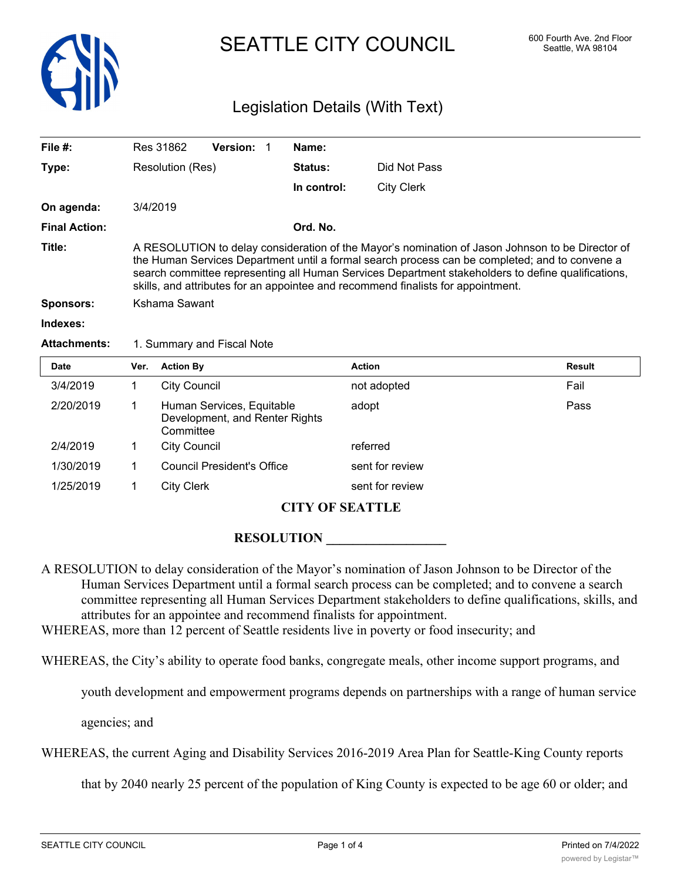

# SEATTLE CITY COUNCIL 600 Fourth Ave. 2nd Floor

## Legislation Details (With Text)

| File $#$ :           | <b>Version:</b><br>Res 31862                                                                                                                                                                                                                                                                                                                                                                 |  | Name:       |                   |               |  |
|----------------------|----------------------------------------------------------------------------------------------------------------------------------------------------------------------------------------------------------------------------------------------------------------------------------------------------------------------------------------------------------------------------------------------|--|-------------|-------------------|---------------|--|
| Type:                | Resolution (Res)                                                                                                                                                                                                                                                                                                                                                                             |  | Status:     | Did Not Pass      |               |  |
|                      |                                                                                                                                                                                                                                                                                                                                                                                              |  | In control: | <b>City Clerk</b> |               |  |
| On agenda:           | 3/4/2019                                                                                                                                                                                                                                                                                                                                                                                     |  |             |                   |               |  |
| <b>Final Action:</b> |                                                                                                                                                                                                                                                                                                                                                                                              |  | Ord. No.    |                   |               |  |
| Title:               | A RESOLUTION to delay consideration of the Mayor's nomination of Jason Johnson to be Director of<br>the Human Services Department until a formal search process can be completed; and to convene a<br>search committee representing all Human Services Department stakeholders to define qualifications,<br>skills, and attributes for an appointee and recommend finalists for appointment. |  |             |                   |               |  |
| <b>Sponsors:</b>     | Kshama Sawant                                                                                                                                                                                                                                                                                                                                                                                |  |             |                   |               |  |
| Indexes:             |                                                                                                                                                                                                                                                                                                                                                                                              |  |             |                   |               |  |
| <b>Attachments:</b>  | 1. Summary and Fiscal Note                                                                                                                                                                                                                                                                                                                                                                   |  |             |                   |               |  |
| <b>Date</b>          | <b>Action By</b><br>Ver.                                                                                                                                                                                                                                                                                                                                                                     |  |             | <b>Action</b>     | <b>Result</b> |  |
|                      |                                                                                                                                                                                                                                                                                                                                                                                              |  |             |                   |               |  |

| 3/4/2019<br>Fail<br><b>City Council</b><br>not adopted<br>2/20/2019<br>Human Services, Equitable<br>Pass<br>adopt<br>Development, and Renter Rights<br>Committee<br>2/4/2019<br>City Council<br>referred<br>1/30/2019<br><b>Council President's Office</b><br>sent for review<br>1/25/2019<br><b>City Clerk</b><br>sent for review | Dalc | VU. AUUUIDY | AGUUIL | nesuit |
|------------------------------------------------------------------------------------------------------------------------------------------------------------------------------------------------------------------------------------------------------------------------------------------------------------------------------------|------|-------------|--------|--------|
|                                                                                                                                                                                                                                                                                                                                    |      |             |        |        |
|                                                                                                                                                                                                                                                                                                                                    |      |             |        |        |
|                                                                                                                                                                                                                                                                                                                                    |      |             |        |        |
|                                                                                                                                                                                                                                                                                                                                    |      |             |        |        |
|                                                                                                                                                                                                                                                                                                                                    |      |             |        |        |

### **CITY OF SEATTLE**

#### $\bf{RESOLUTION}$

- A RESOLUTION to delay consideration of the Mayor's nomination of Jason Johnson to be Director of the Human Services Department until a formal search process can be completed; and to convene a search committee representing all Human Services Department stakeholders to define qualifications, skills, and attributes for an appointee and recommend finalists for appointment.
- WHEREAS, more than 12 percent of Seattle residents live in poverty or food insecurity; and

WHEREAS, the City's ability to operate food banks, congregate meals, other income support programs, and

youth development and empowerment programs depends on partnerships with a range of human service

agencies; and

WHEREAS, the current Aging and Disability Services 2016-2019 Area Plan for Seattle-King County reports

that by 2040 nearly 25 percent of the population of King County is expected to be age 60 or older; and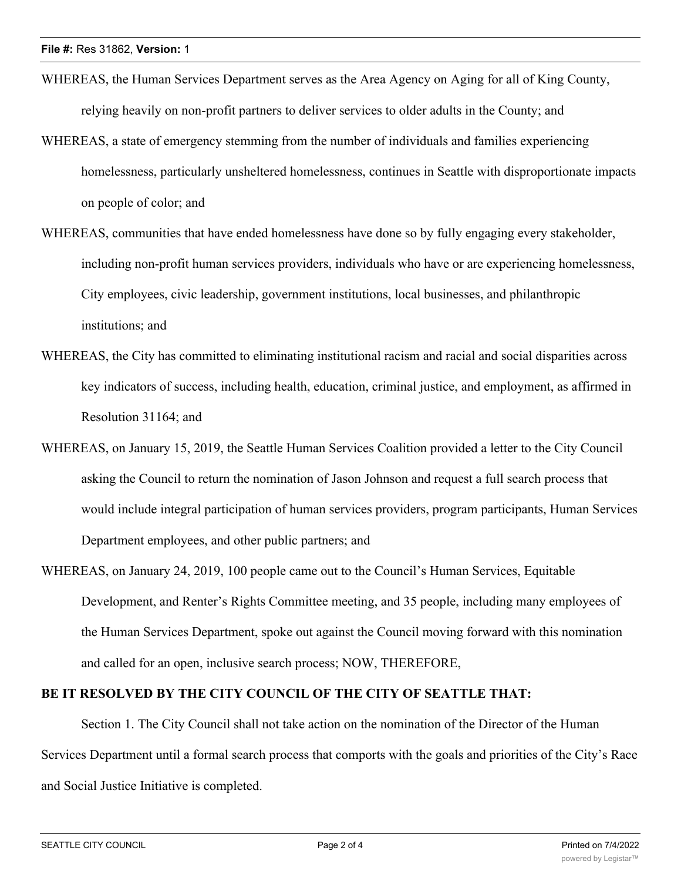- WHEREAS, the Human Services Department serves as the Area Agency on Aging for all of King County, relying heavily on non-profit partners to deliver services to older adults in the County; and
- WHEREAS, a state of emergency stemming from the number of individuals and families experiencing homelessness, particularly unsheltered homelessness, continues in Seattle with disproportionate impacts on people of color; and
- WHEREAS, communities that have ended homelessness have done so by fully engaging every stakeholder, including non-profit human services providers, individuals who have or are experiencing homelessness, City employees, civic leadership, government institutions, local businesses, and philanthropic institutions; and
- WHEREAS, the City has committed to eliminating institutional racism and racial and social disparities across key indicators of success, including health, education, criminal justice, and employment, as affirmed in Resolution 31164; and
- WHEREAS, on January 15, 2019, the Seattle Human Services Coalition provided a letter to the City Council asking the Council to return the nomination of Jason Johnson and request a full search process that would include integral participation of human services providers, program participants, Human Services Department employees, and other public partners; and
- WHEREAS, on January 24, 2019, 100 people came out to the Council's Human Services, Equitable Development, and Renter's Rights Committee meeting, and 35 people, including many employees of the Human Services Department, spoke out against the Council moving forward with this nomination and called for an open, inclusive search process; NOW, THEREFORE,

#### **BE IT RESOLVED BY THE CITY COUNCIL OF THE CITY OF SEATTLE THAT:**

Section 1. The City Council shall not take action on the nomination of the Director of the Human Services Department until a formal search process that comports with the goals and priorities of the City's Race and Social Justice Initiative is completed.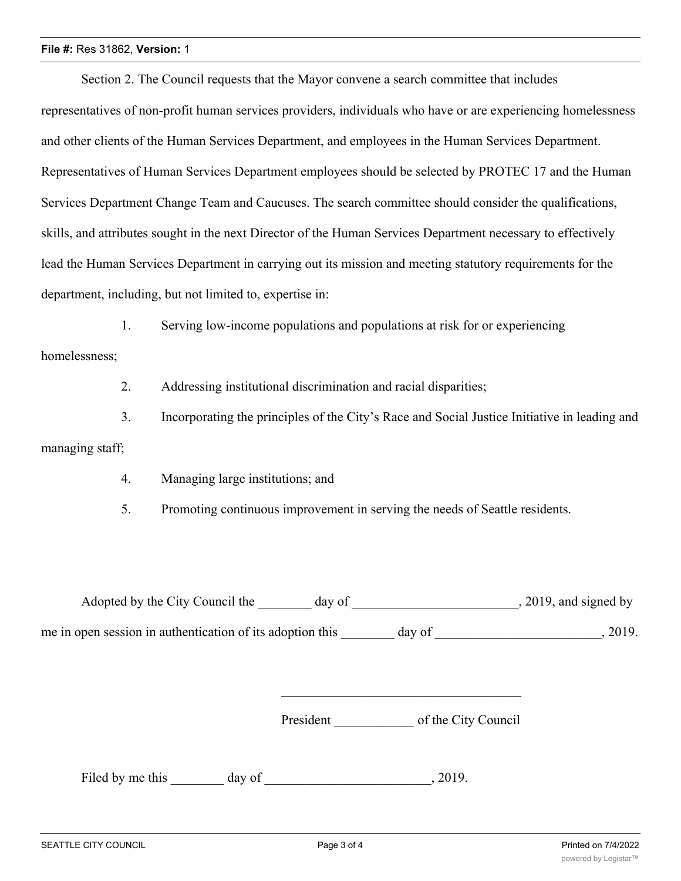#### **File #:** Res 31862, **Version:** 1

Section 2. The Council requests that the Mayor convene a search committee that includes representatives of non-profit human services providers, individuals who have or are experiencing homelessness and other clients of the Human Services Department, and employees in the Human Services Department. Representatives of Human Services Department employees should be selected by PROTEC 17 and the Human Services Department Change Team and Caucuses. The search committee should consider the qualifications, skills, and attributes sought in the next Director of the Human Services Department necessary to effectively lead the Human Services Department in carrying out its mission and meeting statutory requirements for the department, including, but not limited to, expertise in:

1. Serving low-income populations and populations at risk for or experiencing

homelessness;

2. Addressing institutional discrimination and racial disparities;

3. Incorporating the principles of the City's Race and Social Justice Initiative in leading and managing staff;

4. Managing large institutions; and

5. Promoting continuous improvement in serving the needs of Seattle residents.

Adopted by the City Council the day of 3019, and signed by me in open session in authentication of its adoption this day of  $\qquad \qquad$ , 2019.

President \_\_\_\_\_\_\_\_\_\_\_\_ of the City Council

Filed by me this day of , 2019.